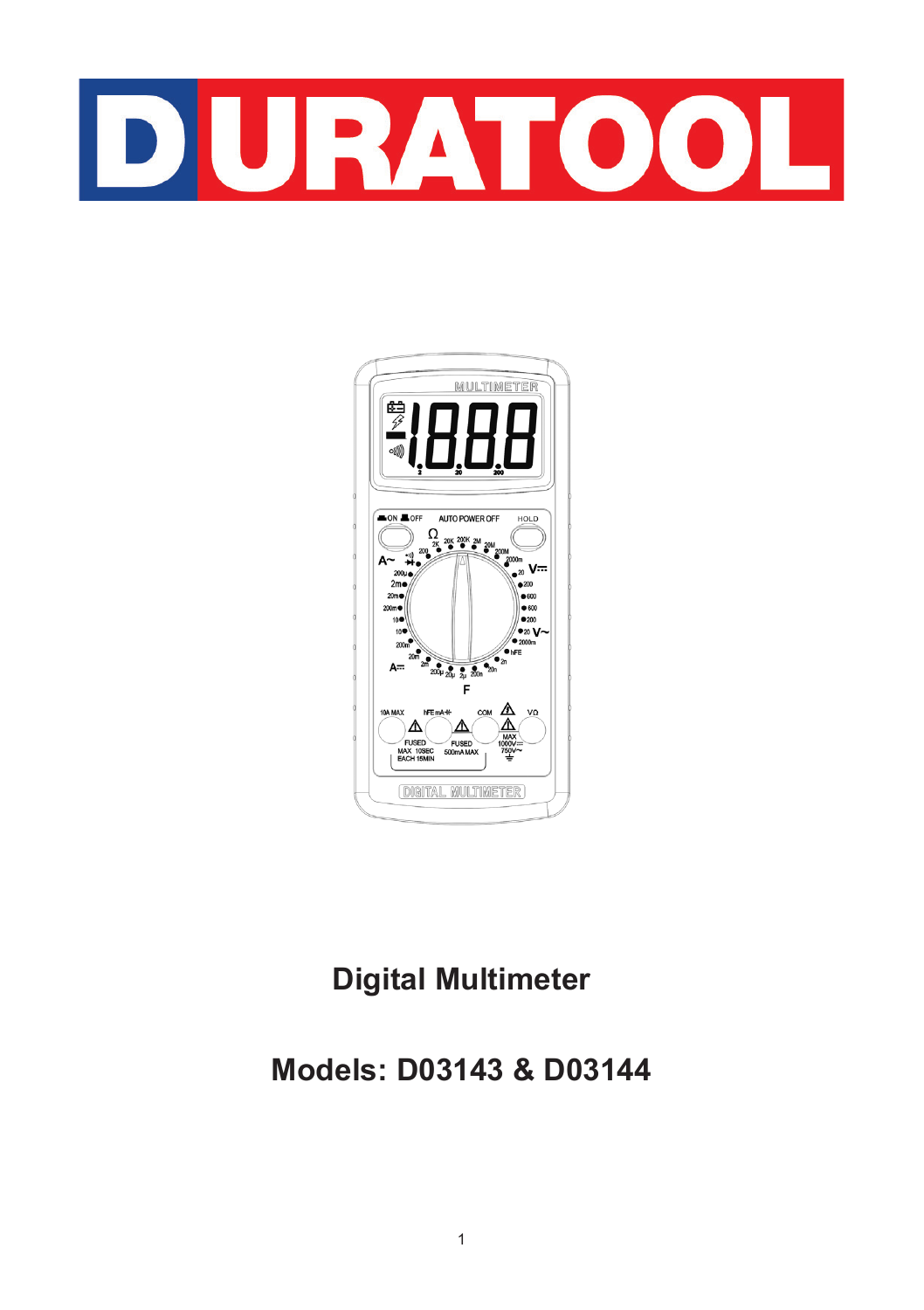



# **Digital Multimeter**

# **Models: D03143 & D03144**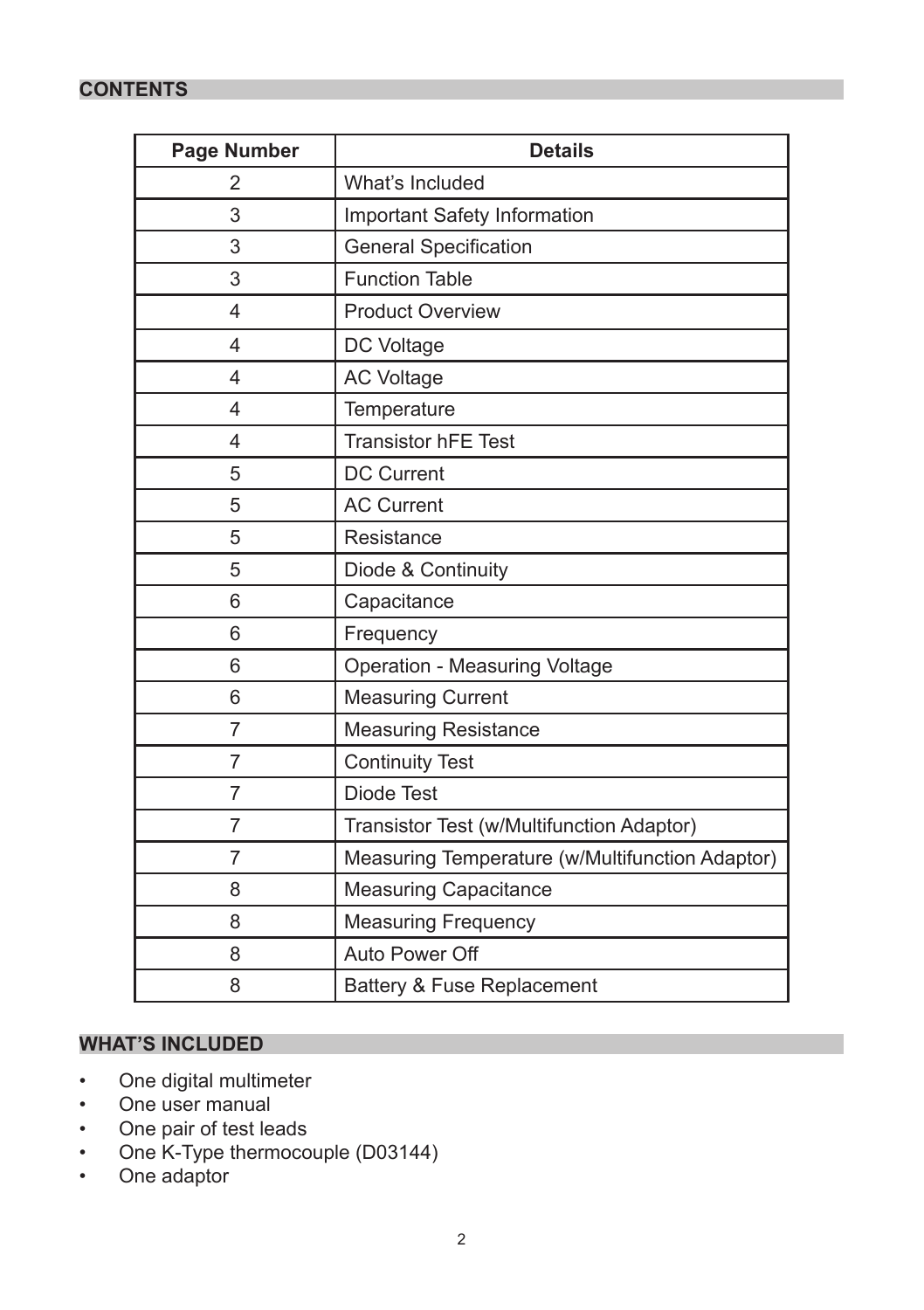### **CONTENTS**

| <b>Page Number</b> | <b>Details</b>                                  |
|--------------------|-------------------------------------------------|
| 2                  | What's Included                                 |
| 3                  | Important Safety Information                    |
| 3                  | <b>General Specification</b>                    |
| 3                  | <b>Function Table</b>                           |
| 4                  | <b>Product Overview</b>                         |
| 4                  | DC Voltage                                      |
| 4                  | <b>AC Voltage</b>                               |
| 4                  | Temperature                                     |
| 4                  | <b>Transistor hFE Test</b>                      |
| 5                  | <b>DC Current</b>                               |
| 5                  | <b>AC Current</b>                               |
| 5                  | Resistance                                      |
| 5                  | Diode & Continuity                              |
| 6                  | Capacitance                                     |
| 6                  | Frequency                                       |
| 6                  | Operation - Measuring Voltage                   |
| 6                  | <b>Measuring Current</b>                        |
| 7                  | <b>Measuring Resistance</b>                     |
| 7                  | <b>Continuity Test</b>                          |
| 7                  | Diode Test                                      |
| 7                  | Transistor Test (w/Multifunction Adaptor)       |
| 7                  | Measuring Temperature (w/Multifunction Adaptor) |
| 8                  | <b>Measuring Capacitance</b>                    |
| 8                  | <b>Measuring Frequency</b>                      |
| 8                  | Auto Power Off                                  |
| 8                  | Battery & Fuse Replacement                      |

# **WHAT'S INCLUDED**

- One digital multimeter
- One user manual
- One pair of test leads
- One K-Type thermocouple (D03144)
- One adaptor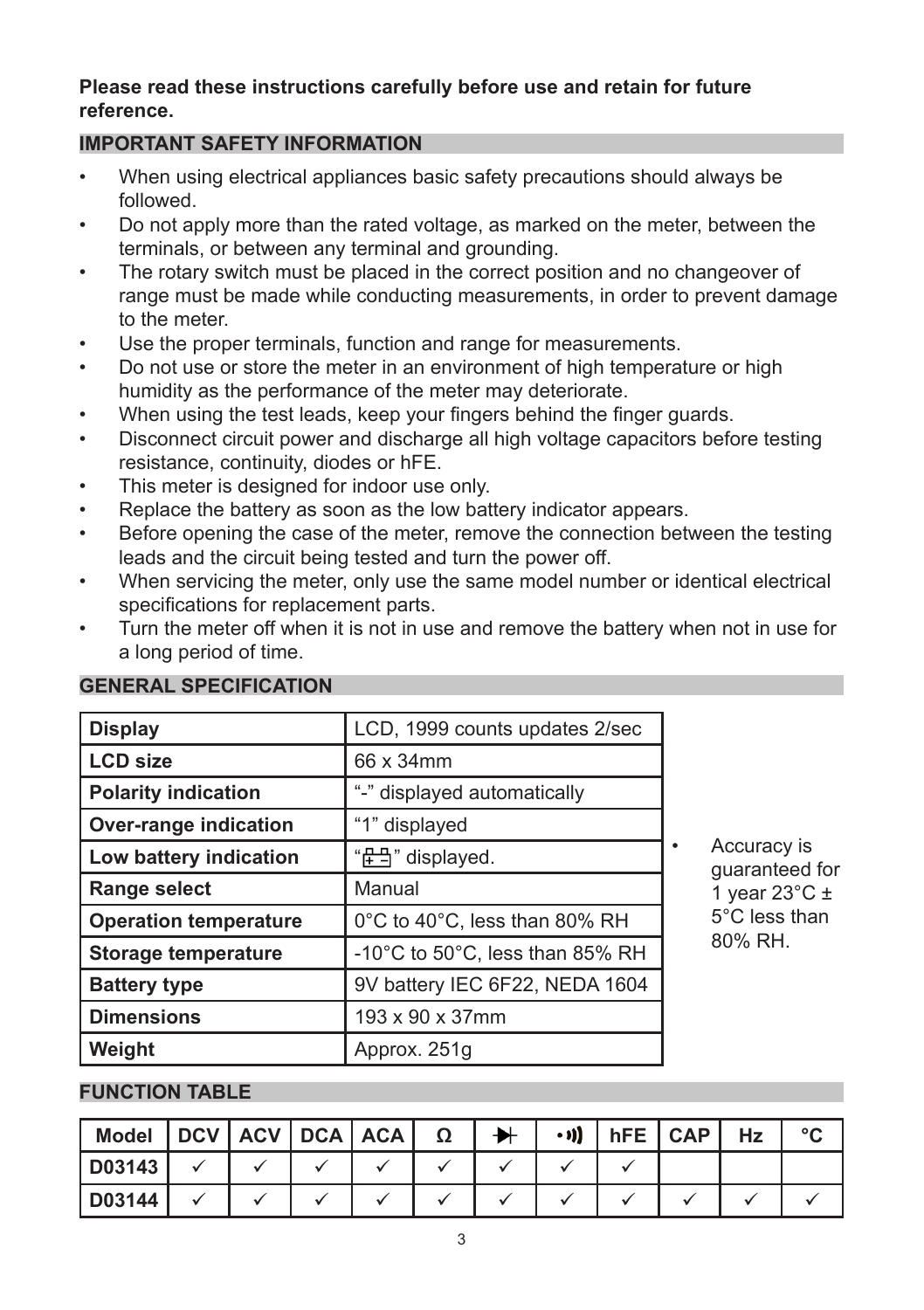#### **Please read these instructions carefully before use and retain for future reference.**

#### **IMPORTANT SAFETY INFORMATION**

- When using electrical appliances basic safety precautions should always be followed.
- Do not apply more than the rated voltage, as marked on the meter, between the terminals, or between any terminal and grounding.
- The rotary switch must be placed in the correct position and no changeover of range must be made while conducting measurements, in order to prevent damage to the meter.
- Use the proper terminals, function and range for measurements.
- Do not use or store the meter in an environment of high temperature or high humidity as the performance of the meter may deteriorate.
- When using the test leads, keep your fingers behind the finger guards.
- Disconnect circuit power and discharge all high voltage capacitors before testing resistance, continuity, diodes or hFE.
- This meter is designed for indoor use only.
- Replace the battery as soon as the low battery indicator appears.
- Before opening the case of the meter, remove the connection between the testing leads and the circuit being tested and turn the power off.
- When servicing the meter, only use the same model number or identical electrical specifications for replacement parts.
- Turn the meter off when it is not in use and remove the battery when not in use for a long period of time.

| <b>Display</b>               | LCD, 1999 counts updates 2/sec                       |
|------------------------------|------------------------------------------------------|
| LCD size                     | 66 x 34mm                                            |
| <b>Polarity indication</b>   | "-" displayed automatically                          |
| <b>Over-range indication</b> | "1" displayed                                        |
| Low battery indication       | " <del>문의</del> " displayed.                         |
| Range select                 | Manual                                               |
| <b>Operation temperature</b> | 0°C to 40°C, less than 80% RH                        |
| <b>Storage temperature</b>   | $-10^{\circ}$ C to 50 $^{\circ}$ C, less than 85% RH |
| <b>Battery type</b>          | 9V battery IEC 6F22, NEDA 1604                       |
| <b>Dimensions</b>            | 193 x 90 x 37mm                                      |
| Weight                       | Approx. 251q                                         |

#### **GENERAL SPECIFICATION**

Accuracy is guaranteed for 1 year  $23^{\circ}$ C  $\pm$ 5°C less than 80% RH.

#### **FUNCTION TABLE**

| $\bigcap_{\Omega}$ Model $\big $ DCV $\big $ ACV $\big $ DCA $\big $ ACA $\big $ Ω |  |  | $\bigstar$ |  | $\cdot$ )   hFE $ $ CAP $ $ | Hz | °C |
|------------------------------------------------------------------------------------|--|--|------------|--|-----------------------------|----|----|
| D03143                                                                             |  |  |            |  |                             |    |    |
| D03144                                                                             |  |  |            |  |                             |    |    |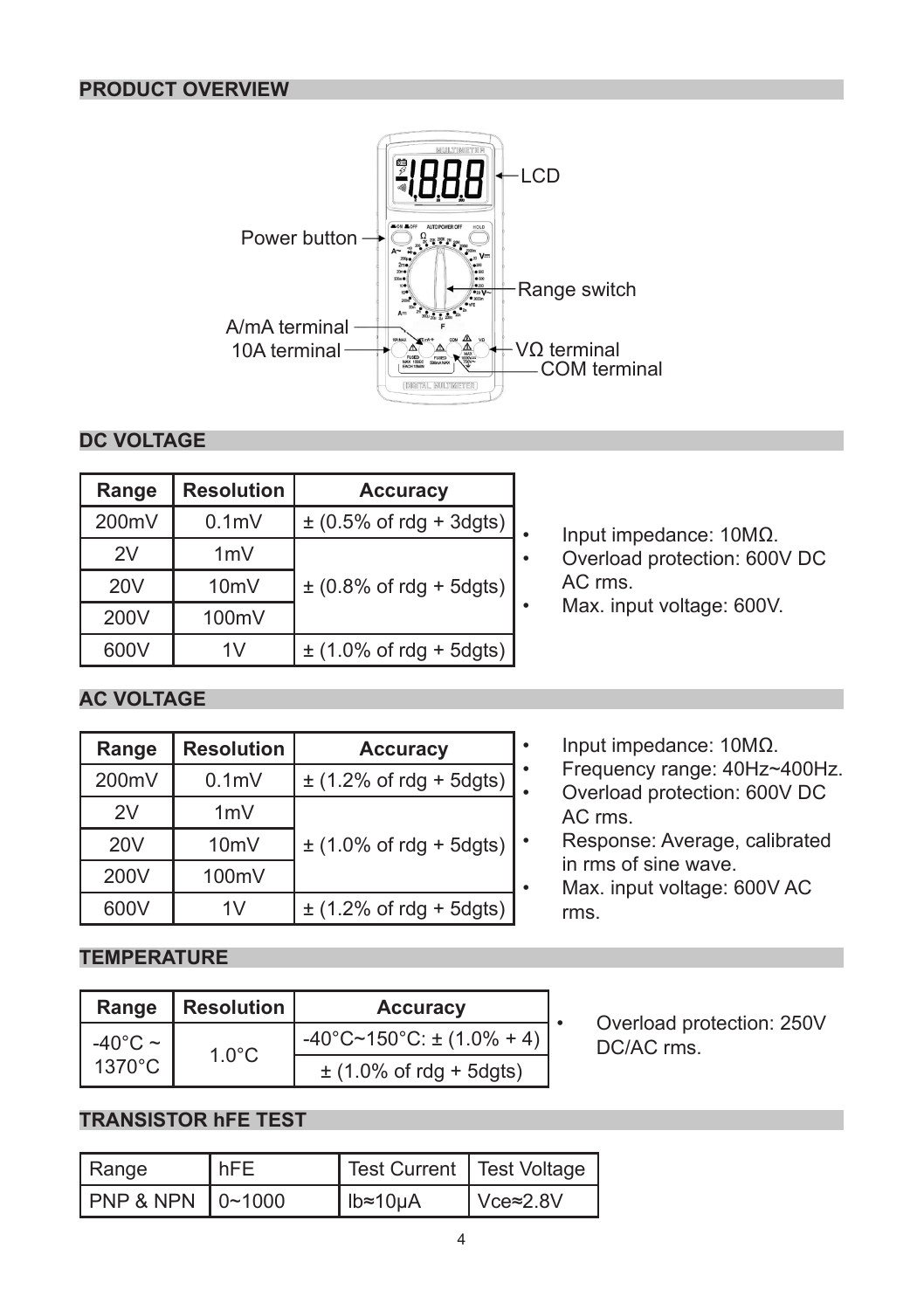#### **PRODUCT OVERVIEW**



#### **DC VOLTAGE**

| Range      | <b>Resolution</b> | <b>Accuracy</b>             |                                             |
|------------|-------------------|-----------------------------|---------------------------------------------|
| 200mV      | 0.1 <sub>m</sub>  | $\pm$ (0.5% of rdg + 3dgts) | Input impedance: $10M\Omega$ .<br>$\bullet$ |
| 2V         | 1mV               |                             | Overload protection: 600V DC<br>٠           |
| <b>20V</b> | 10 <sub>m</sub>   | $\pm$ (0.8% of rdg + 5dgts) | $AC$ rms.                                   |
| 200V       | 100mV             |                             | Max. input voltage: 600V.<br>٠              |
| 600V       | 1V                | $\pm$ (1.0% of rdg + 5dgts) |                                             |

### **AC VOLTAGE**

| Range      | <b>Resolution</b> | <b>Accuracy</b>             |
|------------|-------------------|-----------------------------|
| 200mV      | 0.1 <sub>m</sub>  | $\pm$ (1.2% of rdg + 5dgts) |
| 2V         | 1mV               |                             |
| <b>20V</b> | 10 <sub>m</sub>   | $\pm$ (1.0% of rdg + 5dgts) |
| 200V       | 100mV             |                             |
| 600V       | 1V                | $\pm$ (1.2% of rdg + 5dgts) |

- Input impedance: 10MΩ.
- Frequency range: 40Hz~400Hz.
- Overload protection: 600V DC AC rms.
- Response: Average, calibrated in rms of sine wave.
- Max. input voltage: 600V AC rms.

#### **TEMPERATURE**

|                                  | Range   Resolution | <b>Accuracy</b>                                |
|----------------------------------|--------------------|------------------------------------------------|
| -40°C $\sim$<br>$1370^{\circ}$ C | $1.0^{\circ}$ C    | $-40^{\circ}$ C~150 $^{\circ}$ C: ± (1.0% + 4) |
|                                  |                    | $\pm$ (1.0% of rdg + 5dgts)                    |

• Overload protection: 250V DC/AC rms.

# **TRANSISTOR hFE TEST**

| Range                | hFE | Test Current   Test Voltage |            |
|----------------------|-----|-----------------------------|------------|
| $PNP & NPN$ $O~1000$ |     | l Ib≈10µA                   | l Vce≈2.8V |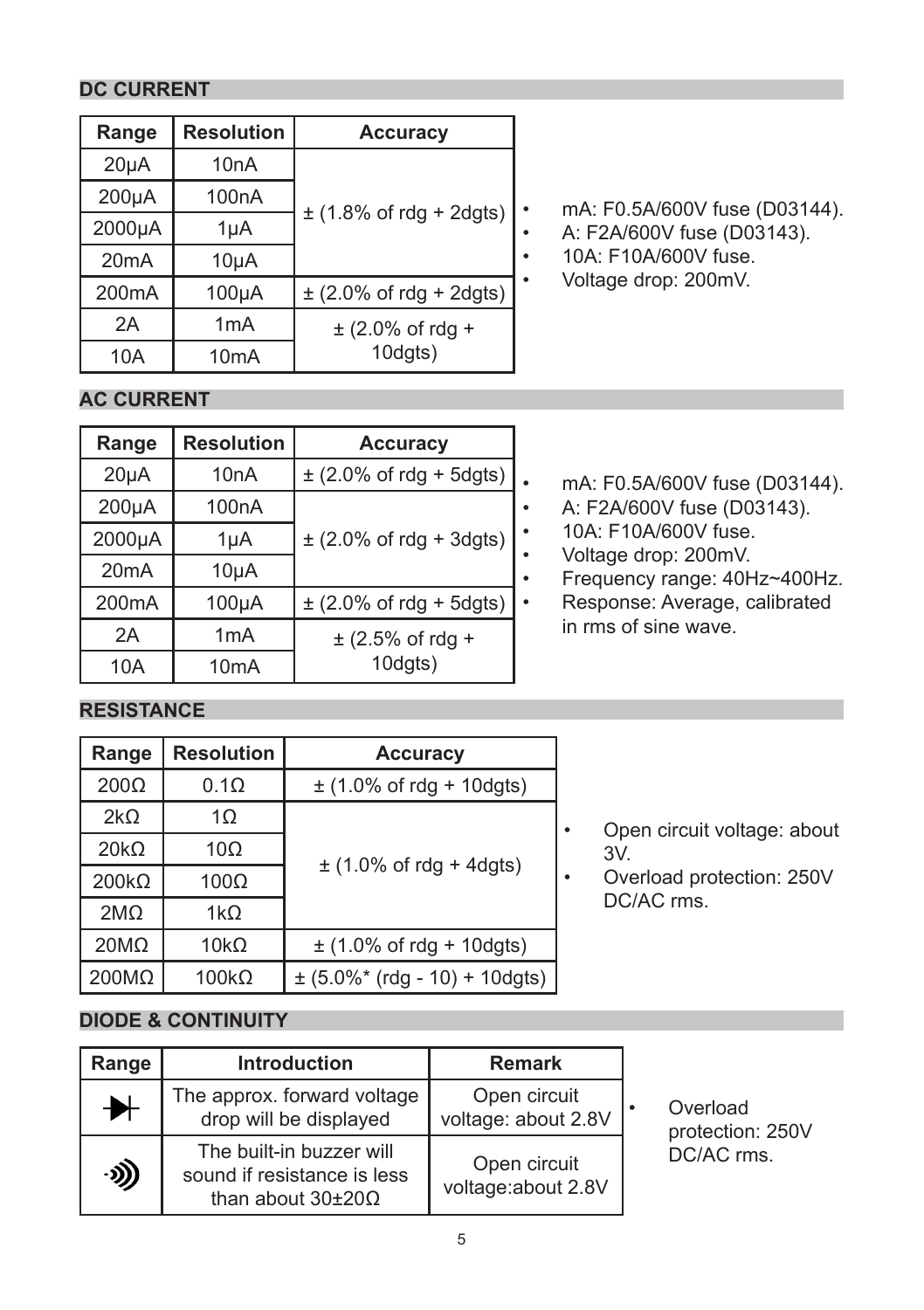## **DC CURRENT**

| Range              | <b>Resolution</b>  | <b>Accuracy</b>                 |  |
|--------------------|--------------------|---------------------------------|--|
| $20\mu A$          | 10 <sub>n</sub> A  |                                 |  |
| $200\mu A$         | 100 <sub>n</sub> A | $\pm$ (1.8% of rdg + 2dgts)     |  |
| 2000µA             | 1µA                |                                 |  |
| 20mA               | $10\mu A$          |                                 |  |
| 200 <sub>m</sub> A | 100 <sub>µ</sub> A | $\pm$ (2.0% of rdg + 2dgts)     |  |
| 2A                 | 1 <sub>m</sub> A   | $\pm$ (2.0% of rdg +<br>10dgts) |  |
| 10A                | 10 <sub>m</sub> A  |                                 |  |

## • mA: F0.5A/600V fuse (D03144).

- A: F2A/600V fuse (D03143).
- 10A: F10A/600V fuse.<br>• Voltage drop: 200mV.
	- Voltage drop: 200mV.

# **AC CURRENT**

| Range              | <b>Resolution</b>  | <b>Accuracy</b>             |
|--------------------|--------------------|-----------------------------|
| 20 <sub>µ</sub> A  | 10 <sub>n</sub> A  | $\pm$ (2.0% of rdg + 5dgts) |
| $200\mu A$         | 100 <sub>n</sub> A |                             |
| 2000µA             | 1µA                | $\pm$ (2.0% of rdg + 3dgts) |
| 20mA               | 10 <sub>µ</sub> A  |                             |
| 200 <sub>m</sub> A | 100 <sub>µ</sub> A | $\pm$ (2.0% of rdg + 5dgts) |
| 2A                 | 1mA                | $\pm$ (2.5% of rdg +        |
| 10A                | 10 <sub>m</sub> A  | 10dgts)                     |

# **RESISTANCE**

| Range            | <b>Resolution</b> | <b>Accuracy</b>                   |                                |
|------------------|-------------------|-----------------------------------|--------------------------------|
| $200\Omega$      | $0.1\Omega$       | $\pm$ (1.0% of rdg + 10dgts)      |                                |
| $2k\Omega$       | $1\Omega$         |                                   | Open circuit voltage: about    |
| $20k\Omega$      | $10\Omega$        |                                   | 3V.                            |
| $200k\Omega$     | $100\Omega$       | $\pm$ (1.0% of rdg + 4dgts)       | Overload protection: 250V<br>٠ |
| 2M <sub>Ω</sub>  | $1k\Omega$        |                                   | DC/AC rms.                     |
| 20M <sub>2</sub> | $10k\Omega$       | $\pm$ (1.0% of rdg + 10dgts)      |                                |
| $200M\Omega$     | $100k\Omega$      | $\pm$ (5.0%* (rdg - 10) + 10dgts) |                                |

## **DIODE & CONTINUITY**

| Range      | <b>Introduction</b>                                                                   | <b>Remark</b>                       |                              |
|------------|---------------------------------------------------------------------------------------|-------------------------------------|------------------------------|
| $\bigstar$ | The approx. forward voltage<br>drop will be displayed                                 | Open circuit<br>voltage: about 2.8V | Overload<br>protection: 250V |
| ·»))       | The built-in buzzer will<br>sound if resistance is less<br>than about $30\pm20\Omega$ | Open circuit<br>voltage:about 2.8V  | DC/AC rms.                   |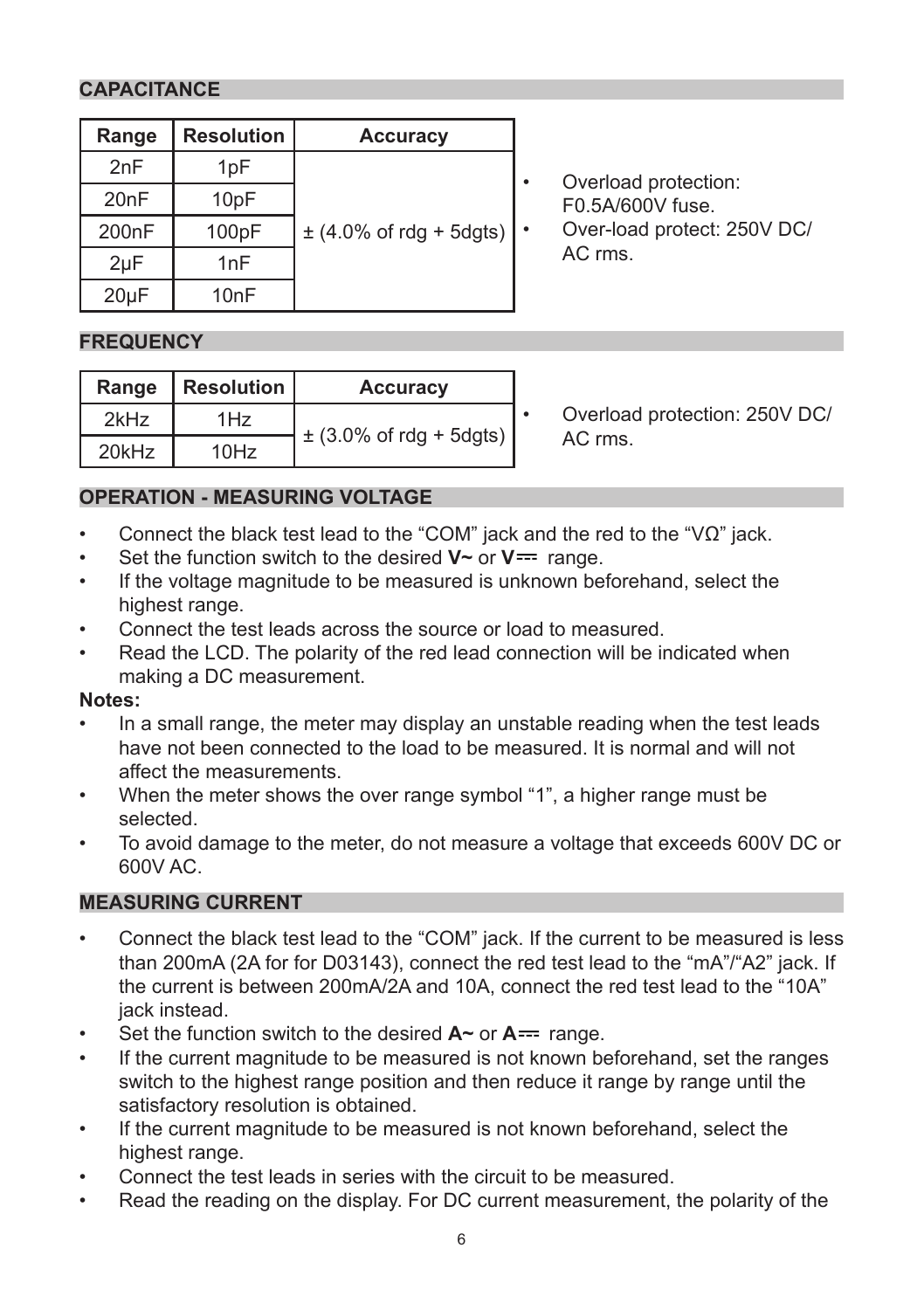#### **CAPACITANCE**

| Range              | <b>Resolution</b> | <b>Accuracy</b>                 |  |
|--------------------|-------------------|---------------------------------|--|
| 2nF                | 1 <sub>pF</sub>   |                                 |  |
| 20nF               | 10 <sub>pF</sub>  |                                 |  |
| 200 <sub>n</sub> F | 100pF             | $\pm$ (4.0% of rdg + 5dgts)   • |  |
| $2\mu F$           | 1nF               |                                 |  |
| $20\mu F$          | 10nF              |                                 |  |

Overload protection: F0.5A/600V fuse.

• Over-load protect: 250V DC/ AC rms.

#### **FREQUENCY**

| Range | <b>Resolution</b> | <b>Accuracy</b>             |
|-------|-------------------|-----------------------------|
| 2kHz  | 1Hz               | $\pm$ (3.0% of rdg + 5dgts) |
| 20kHz | 10Hz              |                             |

• Overload protection: 250V DC/ AC rms.

#### **OPERATION - MEASURING VOLTAGE**

- Connect the black test lead to the "COM" jack and the red to the " $V\Omega$ " jack.
- Set the function switch to the desired **V**~ or **V**== range.
- If the voltage magnitude to be measured is unknown beforehand, select the highest range.
- Connect the test leads across the source or load to measured.
- Read the LCD. The polarity of the red lead connection will be indicated when making a DC measurement.

#### **Notes:**

- In a small range, the meter may display an unstable reading when the test leads have not been connected to the load to be measured. It is normal and will not affect the measurements.
- When the meter shows the over range symbol "1", a higher range must be selected.
- To avoid damage to the meter, do not measure a voltage that exceeds 600V DC or 600V AC.

#### **MEASURING CURRENT**

- Connect the black test lead to the "COM" jack. If the current to be measured is less than 200mA (2A for for D03143), connect the red test lead to the "mA"/"A2" jack. If the current is between 200mA/2A and 10A, connect the red test lead to the "10A" jack instead.
- Set the function switch to the desired  $A \sim$  or  $A \rightleftharpoons$  range.
- If the current magnitude to be measured is not known beforehand, set the ranges switch to the highest range position and then reduce it range by range until the satisfactory resolution is obtained.
- If the current magnitude to be measured is not known beforehand, select the highest range.
- Connect the test leads in series with the circuit to be measured.
- Read the reading on the display. For DC current measurement, the polarity of the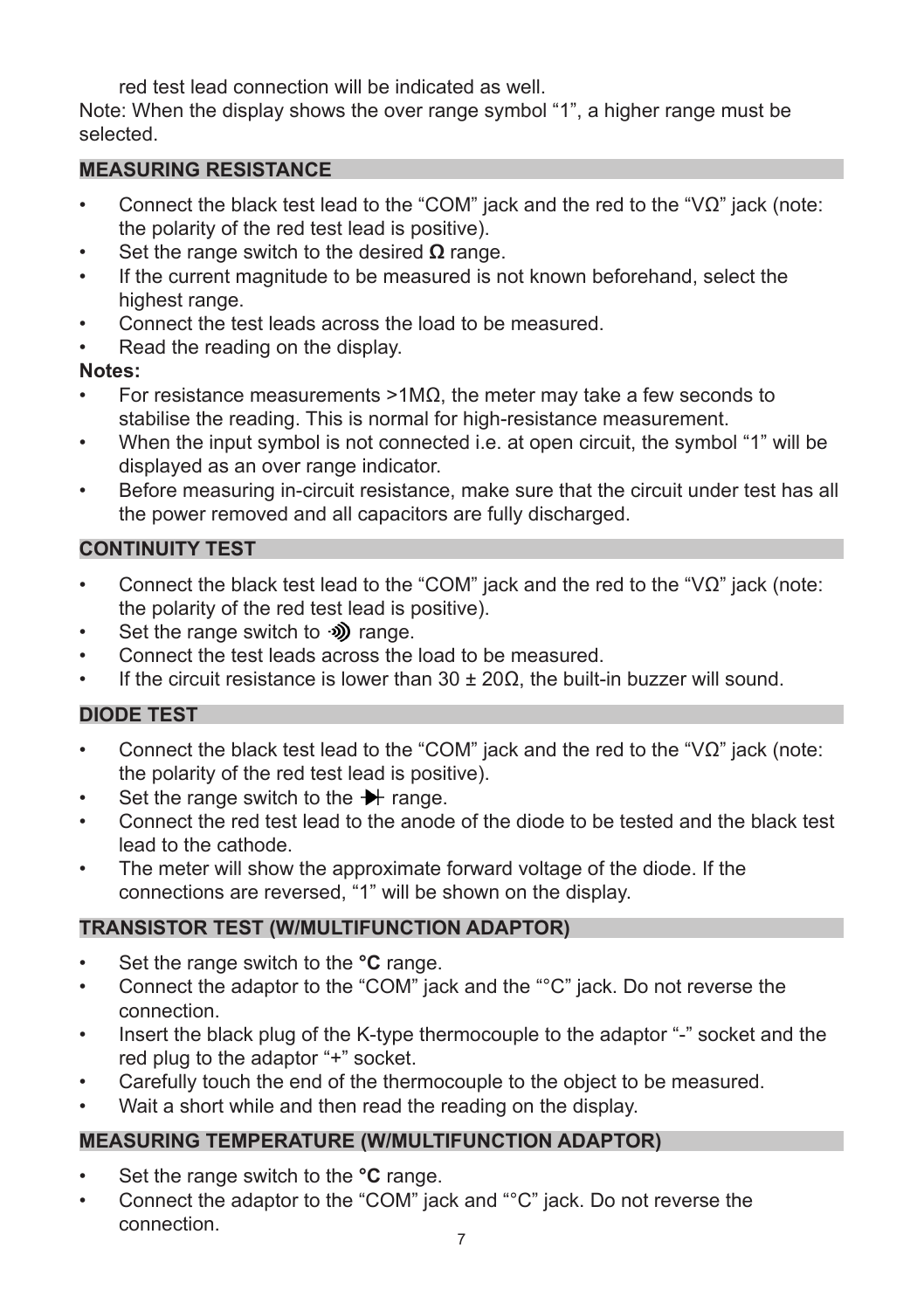red test lead connection will be indicated as well.

Note: When the display shows the over range symbol "1", a higher range must be selected.

## **MEASURING RESISTANCE**

- Connect the black test lead to the "COM" jack and the red to the "VΩ" jack (note: the polarity of the red test lead is positive).
- Set the range switch to the desired **Ω** range.
- If the current magnitude to be measured is not known beforehand, select the highest range.
- Connect the test leads across the load to be measured.
- Read the reading on the display.

# **Notes:**

- For resistance measurements >1MΩ, the meter may take a few seconds to stabilise the reading. This is normal for high-resistance measurement.
- When the input symbol is not connected i.e. at open circuit, the symbol "1" will be displayed as an over range indicator.
- Before measuring in-circuit resistance, make sure that the circuit under test has all the power removed and all capacitors are fully discharged.

# **CONTINUITY TEST**

- Connect the black test lead to the "COM" jack and the red to the "VΩ" jack (note: the polarity of the red test lead is positive).
- Set the range switch to  $\mathcal{W}$  range.
- Connect the test leads across the load to be measured.
- If the circuit resistance is lower than  $30 \pm 20 \Omega$ , the built-in buzzer will sound.

# **DIODE TEST**

- Connect the black test lead to the "COM" jack and the red to the " $V\Omega$ " jack (note: the polarity of the red test lead is positive).
- Set the range switch to the  $\rightarrow$  range.
- Connect the red test lead to the anode of the diode to be tested and the black test lead to the cathode.
- The meter will show the approximate forward voltage of the diode. If the connections are reversed, "1" will be shown on the display.

# **TRANSISTOR TEST (W/MULTIFUNCTION ADAPTOR)**

- Set the range switch to the **°C** range.
- Connect the adaptor to the "COM" jack and the "°C" jack. Do not reverse the connection.
- Insert the black plug of the K-type thermocouple to the adaptor "-" socket and the red plug to the adaptor "+" socket.
- Carefully touch the end of the thermocouple to the object to be measured.
- Wait a short while and then read the reading on the display.

# **MEASURING TEMPERATURE (W/MULTIFUNCTION ADAPTOR)**

- Set the range switch to the **°C** range.
- Connect the adaptor to the "COM" jack and "°C" jack. Do not reverse the connection.